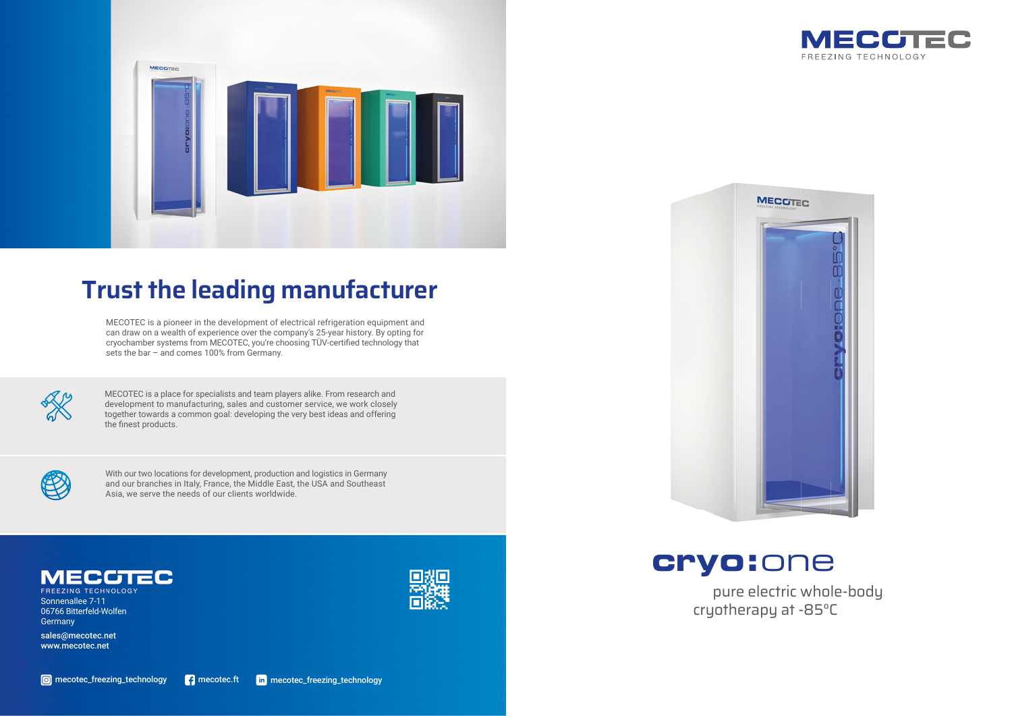

cryotherapy at -85°C



### **Trust the leading manufacturer**

MECOTEC is a pioneer in the development of electrical refrigeration equipment and can draw on a wealth of experience over the company's 25-year history. By opting for cryochamber systems from MECOTEC, you're choosing TÜV-certified technology that sets the bar – and comes 100% from Germany.



MECOTEC is a place for specialists and team players alike. From research and development to manufacturing, sales and customer service, we work closely together towards a common goal: developing the very best ideas and offering the finest products.







Sonnenallee 7-11 06766 Bitterfeld-Wolfen **Germany** 

With our two locations for development, production and logistics in Germany and our branches in Italy, France, the Middle East, the USA and Southeast Asia, we serve the needs of our clients worldwide.



sales@mecotec.net www.mecotec.net